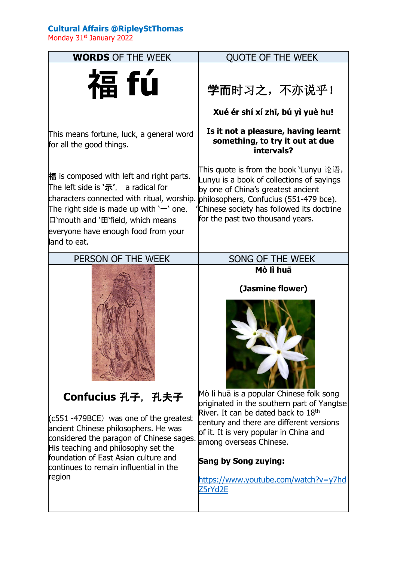## **Cultural Affairs @RipleyStThomas**

Monday 31st January 2022

| <b>WORDS OF THE WEEK</b>                                                                                                                                                                                                                                                   | QUOTE OF THE WEEK                                                                                                                                                                                                                                    |
|----------------------------------------------------------------------------------------------------------------------------------------------------------------------------------------------------------------------------------------------------------------------------|------------------------------------------------------------------------------------------------------------------------------------------------------------------------------------------------------------------------------------------------------|
| 福 fú                                                                                                                                                                                                                                                                       | 学而时习之,不亦说乎!                                                                                                                                                                                                                                          |
|                                                                                                                                                                                                                                                                            | Xué ér shí xí zhī, bú yì yuè hu!                                                                                                                                                                                                                     |
| This means fortune, luck, a general word<br>for all the good things.                                                                                                                                                                                                       | Is it not a pleasure, having learnt<br>something, to try it out at due<br>intervals?                                                                                                                                                                 |
| 福 is composed with left and right parts.<br>The left side is '示', a radical for<br>characters connected with ritual, worship.<br>The right side is made up with $'$ — $'$ one,<br>口'mouth and '田'field, which means<br>everyone have enough food from your<br>land to eat. | This quote is from the book `Lunyu 论语,<br>Lunyu is a book of collections of sayings<br>by one of China's greatest ancient<br>philosophers, Confucius (551-479 bce).<br>Chinese society has followed its doctrine<br>for the past two thousand years. |
| PERSON OF THE WEEK                                                                                                                                                                                                                                                         | SONG OF THE WEEK                                                                                                                                                                                                                                     |
|                                                                                                                                                                                                                                                                            | Mò lì huā<br>(Jasmine flower)                                                                                                                                                                                                                        |
| Confucius 孔子, 孔夫子                                                                                                                                                                                                                                                          | Mò lì huā is a popular Chinese folk song<br>originated in the southern part of Yangtse<br>River. It can be dated back to 18 <sup>th</sup>                                                                                                            |
| $(C551 - 479BCE)$ was one of the greatest<br>ancient Chinese philosophers. He was<br>considered the paragon of Chinese sages.<br>His teaching and philosophy set the                                                                                                       | century and there are different versions<br>of it. It is very popular in China and<br>among overseas Chinese.                                                                                                                                        |
| foundation of East Asian culture and<br>continues to remain influential in the<br>region                                                                                                                                                                                   | <b>Sang by Song zuying:</b>                                                                                                                                                                                                                          |